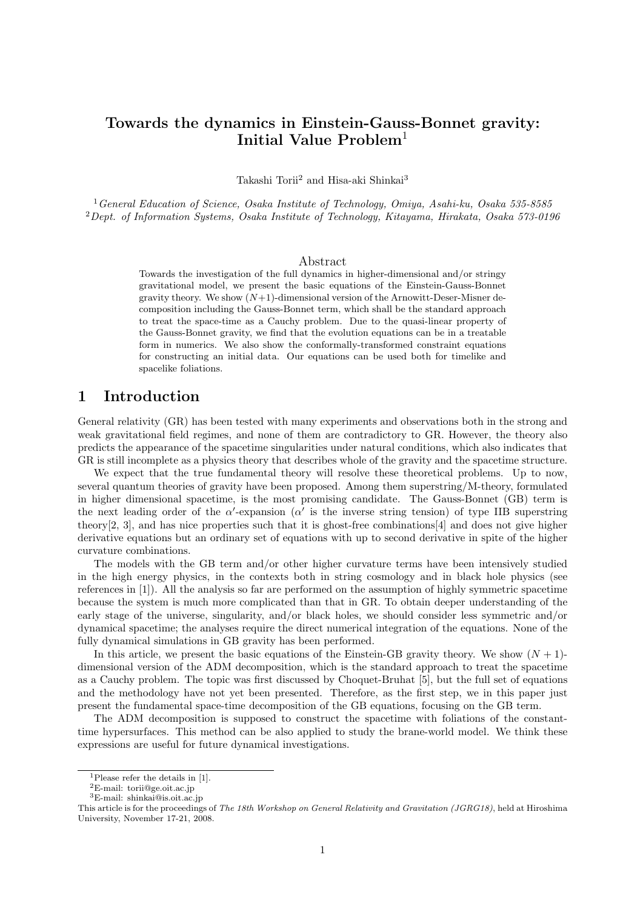# **Towards the dynamics in Einstein-Gauss-Bonnet gravity: Initial Value Problem**<sup>1</sup>

Takashi Torii<sup>2</sup> and Hisa-aki Shinkai<sup>3</sup>

<sup>1</sup>*General Education of Science, Osaka Institute of Technology, Omiya, Asahi-ku, Osaka 535-8585* <sup>2</sup>*Dept. of Information Systems, Osaka Institute of Technology, Kitayama, Hirakata, Osaka 573-0196*

#### Abstract

Towards the investigation of the full dynamics in higher-dimensional and/or stringy gravitational model, we present the basic equations of the Einstein-Gauss-Bonnet gravity theory. We show  $(N+1)$ -dimensional version of the Arnowitt-Deser-Misner decomposition including the Gauss-Bonnet term, which shall be the standard approach to treat the space-time as a Cauchy problem. Due to the quasi-linear property of the Gauss-Bonnet gravity, we find that the evolution equations can be in a treatable form in numerics. We also show the conformally-transformed constraint equations for constructing an initial data. Our equations can be used both for timelike and spacelike foliations.

# **1 Introduction**

General relativity (GR) has been tested with many experiments and observations both in the strong and weak gravitational field regimes, and none of them are contradictory to GR. However, the theory also predicts the appearance of the spacetime singularities under natural conditions, which also indicates that GR is still incomplete as a physics theory that describes whole of the gravity and the spacetime structure.

We expect that the true fundamental theory will resolve these theoretical problems. Up to now, several quantum theories of gravity have been proposed. Among them superstring/M-theory, formulated in higher dimensional spacetime, is the most promising candidate. The Gauss-Bonnet (GB) term is the next leading order of the  $\alpha'$ -expansion ( $\alpha'$  is the inverse string tension) of type IIB superstring theory[2, 3], and has nice properties such that it is ghost-free combinations[4] and does not give higher derivative equations but an ordinary set of equations with up to second derivative in spite of the higher curvature combinations.

The models with the GB term and/or other higher curvature terms have been intensively studied in the high energy physics, in the contexts both in string cosmology and in black hole physics (see references in [1]). All the analysis so far are performed on the assumption of highly symmetric spacetime because the system is much more complicated than that in GR. To obtain deeper understanding of the early stage of the universe, singularity, and/or black holes, we should consider less symmetric and/or dynamical spacetime; the analyses require the direct numerical integration of the equations. None of the fully dynamical simulations in GB gravity has been performed.

In this article, we present the basic equations of the Einstein-GB gravity theory. We show  $(N + 1)$ dimensional version of the ADM decomposition, which is the standard approach to treat the spacetime as a Cauchy problem. The topic was first discussed by Choquet-Bruhat [5], but the full set of equations and the methodology have not yet been presented. Therefore, as the first step, we in this paper just present the fundamental space-time decomposition of the GB equations, focusing on the GB term.

The ADM decomposition is supposed to construct the spacetime with foliations of the constanttime hypersurfaces. This method can be also applied to study the brane-world model. We think these expressions are useful for future dynamical investigations.

<sup>1</sup>Please refer the details in [1].

<sup>2</sup>E-mail: torii@ge.oit.ac.jp

 $^3\mathrm{E}\text{-}\mathrm{mail:}$ shinkai@is.oit.ac.jp

This article is for the proceedings of *The 18th Workshop on General Relativity and Gravitation (JGRG18)*, held at Hiroshima University, November 17-21, 2008.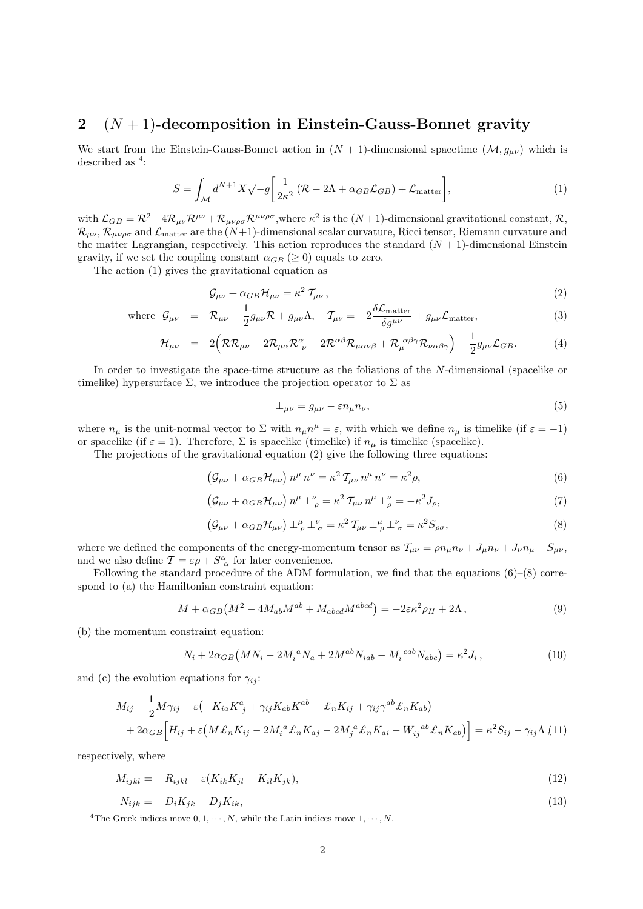# **2** (*N* + 1)**-decomposition in Einstein-Gauss-Bonnet gravity**

We start from the Einstein-Gauss-Bonnet action in  $(N + 1)$ -dimensional spacetime  $(M, g_{\mu\nu})$  which is described as  $4$ :

$$
S = \int_{\mathcal{M}} d^{N+1} X \sqrt{-g} \left[ \frac{1}{2\kappa^2} \left( \mathcal{R} - 2\Lambda + \alpha_{GB} \mathcal{L}_{GB} \right) + \mathcal{L}_{\text{matter}} \right],\tag{1}
$$

with  $\mathcal{L}_{GB} = \mathcal{R}^2 - 4\mathcal{R}_{\mu\nu} \mathcal{R}^{\mu\nu} + \mathcal{R}_{\mu\nu\rho\sigma} \mathcal{R}^{\mu\nu\rho\sigma}$ , where  $\kappa^2$  is the  $(N+1)$ -dimensional gravitational constant,  $\mathcal{R}$ ,  $\mathcal{R}_{\mu\nu}$ ,  $\mathcal{R}_{\mu\nu\rho\sigma}$  and  $\mathcal{L}_{\text{matter}}$  are the  $(N+1)$ -dimensional scalar curvature, Ricci tensor, Riemann curvature and the matter Lagrangian, respectively. This action reproduces the standard  $(N + 1)$ -dimensional Einstein gravity, if we set the coupling constant  $\alpha_{GB}$  ( $\geq$  0) equals to zero.

The action (1) gives the gravitational equation as

$$
\mathcal{G}_{\mu\nu} + \alpha_{GB} \mathcal{H}_{\mu\nu} = \kappa^2 \, \mathcal{T}_{\mu\nu} \,, \tag{2}
$$

where 
$$
\mathcal{G}_{\mu\nu} = \mathcal{R}_{\mu\nu} - \frac{1}{2} g_{\mu\nu} \mathcal{R} + g_{\mu\nu} \Lambda, \quad \mathcal{T}_{\mu\nu} = -2 \frac{\delta \mathcal{L}_{\text{matter}}}{\delta g^{\mu\nu}} + g_{\mu\nu} \mathcal{L}_{\text{matter}}, \tag{3}
$$

$$
\mathcal{H}_{\mu\nu} = 2(\mathcal{R}\mathcal{R}_{\mu\nu} - 2\mathcal{R}_{\mu\alpha}\mathcal{R}_{\ \nu}^{\alpha} - 2\mathcal{R}^{\alpha\beta}\mathcal{R}_{\mu\alpha\nu\beta} + \mathcal{R}_{\mu}^{\ \alpha\beta\gamma}\mathcal{R}_{\nu\alpha\beta\gamma}) - \frac{1}{2}g_{\mu\nu}\mathcal{L}_{GB}.
$$
 (4)

In order to investigate the space-time structure as the foliations of the *N*-dimensional (spacelike or timelike) hypersurface  $\Sigma$ , we introduce the projection operator to  $\Sigma$  as

$$
\perp_{\mu\nu} = g_{\mu\nu} - \varepsilon n_{\mu} n_{\nu},\tag{5}
$$

where  $n_{\mu}$  is the unit-normal vector to  $\Sigma$  with  $n_{\mu}n^{\mu} = \varepsilon$ , with which we define  $n_{\mu}$  is timelike (if  $\varepsilon = -1$ ) or spacelike (if  $\varepsilon = 1$ ). Therefore,  $\Sigma$  is spacelike (timelike) if  $n<sub>\mu</sub>$  is timelike (spacelike).

The projections of the gravitational equation (2) give the following three equations:

$$
\left(\mathcal{G}_{\mu\nu} + \alpha_{GB}\mathcal{H}_{\mu\nu}\right)n^{\mu}n^{\nu} = \kappa^2 \mathcal{T}_{\mu\nu}n^{\mu}n^{\nu} = \kappa^2 \rho,\tag{6}
$$

$$
\left(\mathcal{G}_{\mu\nu} + \alpha_{GB}\mathcal{H}_{\mu\nu}\right)n^{\mu} \perp^{\nu}_{\rho} = \kappa^2 \mathcal{T}_{\mu\nu} n^{\mu} \perp^{\nu}_{\rho} = -\kappa^2 J_{\rho},\tag{7}
$$

$$
\left(\mathcal{G}_{\mu\nu} + \alpha_{GB}\mathcal{H}_{\mu\nu}\right)\perp^{\mu}_{\rho}\perp^{\nu}_{\sigma} = \kappa^2 \mathcal{T}_{\mu\nu}\perp^{\mu}_{\rho}\perp^{\nu}_{\sigma} = \kappa^2 S_{\rho\sigma},\tag{8}
$$

where we defined the components of the energy-momentum tensor as  $\mathcal{T}_{\mu\nu} = \rho n_{\mu}n_{\nu} + J_{\mu}n_{\nu} + J_{\nu}n_{\mu} + S_{\mu\nu}$ , and we also define  $\mathcal{T} = \varepsilon \rho + S^{\alpha}_{\alpha}$  for later convenience.

Following the standard procedure of the ADM formulation, we find that the equations  $(6)-(8)$  correspond to (a) the Hamiltonian constraint equation:

$$
M + \alpha_{GB} \left( M^2 - 4M_{ab}M^{ab} + M_{abcd}M^{abcd} \right) = -2\varepsilon \kappa^2 \rho_H + 2\Lambda \,, \tag{9}
$$

(b) the momentum constraint equation:

$$
N_i + 2\alpha_{GB}(MN_i - 2M_i^{\ a}N_a + 2M^{ab}N_{iab} - M_i^{\ cab}N_{abc}) = \kappa^2 J_i, \qquad (10)
$$

and (c) the evolution equations for  $\gamma_{ij}$ :

$$
M_{ij} - \frac{1}{2}M\gamma_{ij} - \varepsilon \left( -K_{ia}K_{j}^{a} + \gamma_{ij}K_{ab}K^{ab} - \pounds_{n}K_{ij} + \gamma_{ij}\gamma^{ab}\pounds_{n}K_{ab} \right)
$$
  
+  $2\alpha_{GB}\left[H_{ij} + \varepsilon \left(M\pounds_{n}K_{ij} - 2M_{i}^{a}\pounds_{n}K_{aj} - 2M_{j}^{a}\pounds_{n}K_{ai} - W_{ij}^{ab}\pounds_{n}K_{ab}\right)\right] = \kappa^{2}S_{ij} - \gamma_{ij}\Lambda$  (11)

respectively, where

$$
M_{ijkl} = R_{ijkl} - \varepsilon (K_{ik} K_{jl} - K_{il} K_{jk}), \qquad (12)
$$

$$
N_{ijk} = D_i K_{jk} - D_j K_{ik}, \qquad (13)
$$

<sup>4</sup>The Greek indices move  $0, 1, \dots, N$ , while the Latin indices move  $1, \dots, N$ .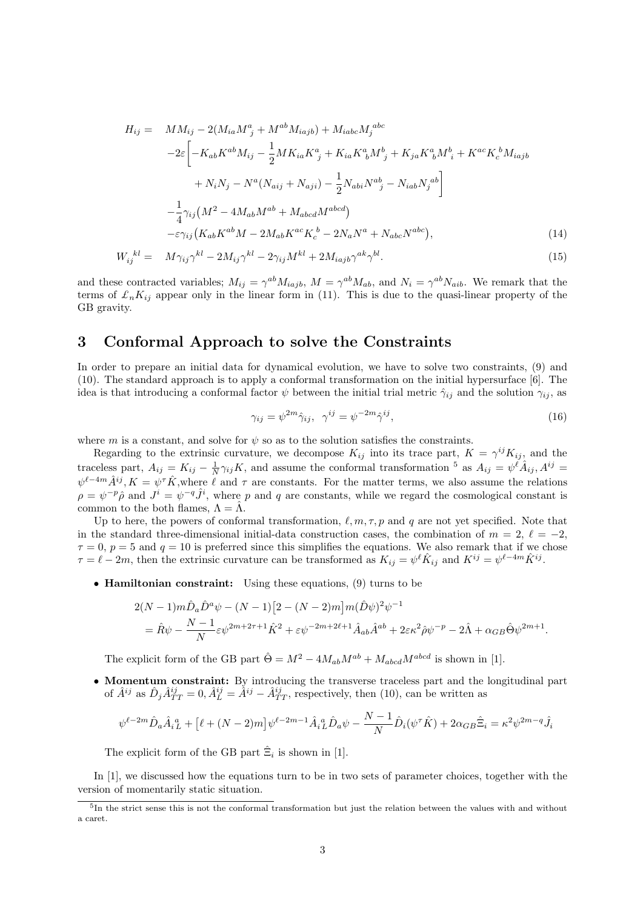$$
H_{ij} = MM_{ij} - 2(M_{ia}M^{a}_{j} + M^{ab}M_{iajb}) + M_{iabc}M^{abc}_{j}
$$
  
\n
$$
-2\varepsilon \left[ -K_{ab}K^{ab}M_{ij} - \frac{1}{2}MK_{ia}K^{a}_{j} + K_{ia}K^{a}_{b}M^{b}_{j} + K_{ja}K^{a}_{b}M^{b}_{i} + K^{ac}K^{b}_{c}M_{iajb} + N_{i}N_{j} - N^{a}(N_{aij} + N_{aji}) - \frac{1}{2}N_{abi}N^{ab}_{j} - N_{iab}N^{ab}_{j} \right]
$$
  
\n
$$
- \frac{1}{4}\gamma_{ij}(M^{2} - 4M_{ab}M^{ab} + M_{abcd}M^{abcd}) - \varepsilon \gamma_{ij}(K_{ab}K^{ab}M - 2M_{ab}K^{ac}K^{b}_{c} - 2N_{a}N^{a} + N_{abc}N^{abc}), \qquad (14)
$$

$$
W_{ij}^{~~kl} = M\gamma_{ij}\gamma^{kl} - 2M_{ij}\gamma^{kl} - 2\gamma_{ij}M^{kl} + 2M_{iajb}\gamma^{ak}\gamma^{bl}.\tag{15}
$$

and these contracted variables;  $M_{ij} = \gamma^{ab} M_{iajb}$ ,  $M = \gamma^{ab} M_{ab}$ , and  $N_i = \gamma^{ab} N_{aib}$ . We remark that the terms of *£nKij* appear only in the linear form in (11). This is due to the quasi-linear property of the GB gravity.

### **3 Conformal Approach to solve the Constraints**

In order to prepare an initial data for dynamical evolution, we have to solve two constraints, (9) and (10). The standard approach is to apply a conformal transformation on the initial hypersurface [6]. The idea is that introducing a conformal factor  $\psi$  between the initial trial metric  $\hat{\gamma}_{ij}$  and the solution  $\gamma_{ij}$ , as

$$
\gamma_{ij} = \psi^{2m}\hat{\gamma}_{ij}, \quad \gamma^{ij} = \psi^{-2m}\hat{\gamma}^{ij},\tag{16}
$$

where *m* is a constant, and solve for  $\psi$  so as to the solution satisfies the constraints.

Regarding to the extrinsic curvature, we decompose  $K_{ij}$  into its trace part,  $K = \gamma^{ij} K_{ij}$ , and the traceless part,  $A_{ij} = K_{ij} - \frac{1}{N} \gamma_{ij} K$ , and assume the conformal transformation <sup>5</sup> as  $A_{ij} = \psi^{\hat{\ell}} \hat{A}_{ij}$ ,  $A^{ij} =$  $\psi^{\ell-4m}\hat{A}^{ij}$ ,  $K = \psi^{\tau}\hat{K}$ , where  $\ell$  and  $\tau$  are constants. For the matter terms, we also assume the relations  $\rho = \psi^{-p} \hat{\rho}$  and  $J^i = \psi^{-q} \hat{J}^i$ , where *p* and *q* are constants, while we regard the cosmological constant is common to the both flames,  $\Lambda = \tilde{\Lambda}$ .

Up to here, the powers of conformal transformation,  $\ell, m, \tau, p$  and q are not yet specified. Note that in the standard three-dimensional initial-data construction cases, the combination of  $m = 2, \ell = -2$ ,  $\tau = 0$ ,  $p = 5$  and  $q = 10$  is preferred since this simplifies the equations. We also remark that if we chose  $\tau = \ell - 2m$ , then the extrinsic curvature can be transformed as  $K_{ij} = \psi^{\ell} \hat{K}_{ij}$  and  $K^{ij} = \psi^{\ell-4m} \hat{K}^{ij}$ .

*•* **Hamiltonian constraint:** Using these equations, (9) turns to be

$$
2(N-1)m\hat{D}_a\hat{D}^a\psi - (N-1)[2 - (N-2)m]m(\hat{D}\psi)^2\psi^{-1}
$$
  
=  $\hat{R}\psi - \frac{N-1}{N}\varepsilon\psi^{2m+2\tau+1}\hat{K}^2 + \varepsilon\psi^{-2m+2\ell+1}\hat{A}_{ab}\hat{A}^{ab} + 2\varepsilon\kappa^2\hat{\rho}\psi^{-p} - 2\hat{\Lambda} + \alpha_{GB}\hat{\Theta}\psi^{2m+1}.$ 

The explicit form of the GB part  $\hat{\Theta} = M^2 - 4M_{ab}M^{ab} + M_{abcd}M^{abcd}$  is shown in [1].

• **Momentum constraint:** By introducing the transverse traceless part and the longitudinal part of  $\hat{A}^{ij}$  as  $\hat{D}_j \hat{A}^{ij}_{TT} = 0$ ,  $\hat{A}^{ij}_L = \hat{A}^{ij} - \hat{A}^{ij}_{TT}$ , respectively, then (10), can be written as

$$
\psi^{\ell-2m} \hat{D}_a \hat{A}_i{}^a_L + [\ell + (N-2)m] \psi^{\ell-2m-1} \hat{A}_i{}^a_L \hat{D}_a \psi - \frac{N-1}{N} \hat{D}_i (\psi^\tau \hat{K}) + 2\alpha_{GB} \hat{\Xi}_i = \kappa^2 \psi^{2m-q} \hat{J}_i
$$

The explicit form of the GB part  $\hat{\Xi}_i$  is shown in [1].

In [1], we discussed how the equations turn to be in two sets of parameter choices, together with the version of momentarily static situation.

<sup>&</sup>lt;sup>5</sup>In the strict sense this is not the conformal transformation but just the relation between the values with and without a caret.